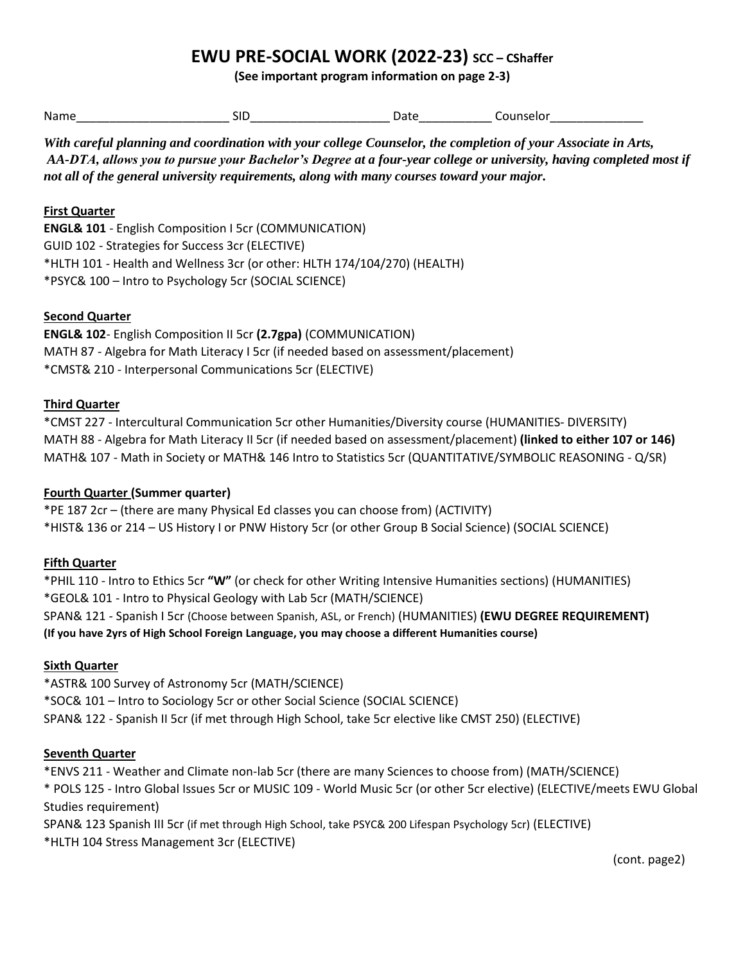# **EWU PRE-SOCIAL WORK (2022-23) SCC – CShaffer**

**(See important program information on page 2-3)**

Name\_\_\_\_\_\_\_\_\_\_\_\_\_\_\_\_\_\_\_\_\_\_\_ SID\_\_\_\_\_\_\_\_\_\_\_\_\_\_\_\_\_\_\_\_\_ Date\_\_\_\_\_\_\_\_\_\_\_ Counselor\_\_\_\_\_\_\_\_\_\_\_\_\_\_

*With careful planning and coordination with your college Counselor, the completion of your Associate in Arts, AA-DTA, allows you to pursue your Bachelor's Degree at a four-year college or university, having completed most if not all of the general university requirements, along with many courses toward your major.* 

#### **First Quarter**

**ENGL& 101** - English Composition I 5cr (COMMUNICATION) GUID 102 - Strategies for Success 3cr (ELECTIVE) \*HLTH 101 - Health and Wellness 3cr (or other: HLTH 174/104/270) (HEALTH) \*PSYC& 100 – Intro to Psychology 5cr (SOCIAL SCIENCE)

#### **Second Quarter**

**ENGL& 102**- English Composition II 5cr **(2.7gpa)** (COMMUNICATION) MATH 87 - Algebra for Math Literacy I 5cr (if needed based on assessment/placement) \*CMST& 210 - Interpersonal Communications 5cr (ELECTIVE)

#### **Third Quarter**

\*CMST 227 - Intercultural Communication 5cr other Humanities/Diversity course (HUMANITIES- DIVERSITY) MATH 88 - Algebra for Math Literacy II 5cr (if needed based on assessment/placement) **(linked to either 107 or 146)** MATH& 107 - Math in Society or MATH& 146 Intro to Statistics 5cr (QUANTITATIVE/SYMBOLIC REASONING - Q/SR)

#### **Fourth Quarter (Summer quarter)**

\*PE 187 2cr – (there are many Physical Ed classes you can choose from) (ACTIVITY) \*HIST& 136 or 214 – US History I or PNW History 5cr (or other Group B Social Science) (SOCIAL SCIENCE)

#### **Fifth Quarter**

\*PHIL 110 - Intro to Ethics 5cr **"W"** (or check for other Writing Intensive Humanities sections) (HUMANITIES) \*GEOL& 101 - Intro to Physical Geology with Lab 5cr (MATH/SCIENCE) SPAN& 121 - Spanish I 5cr (Choose between Spanish, ASL, or French) (HUMANITIES) **(EWU DEGREE REQUIREMENT) (If you have 2yrs of High School Foreign Language, you may choose a different Humanities course)**

## **Sixth Quarter**

\*ASTR& 100 Survey of Astronomy 5cr (MATH/SCIENCE) \*SOC& 101 – Intro to Sociology 5cr or other Social Science (SOCIAL SCIENCE) SPAN& 122 - Spanish II 5cr (if met through High School, take 5cr elective like CMST 250) (ELECTIVE)

#### **Seventh Quarter**

\*ENVS 211 - Weather and Climate non-lab 5cr (there are many Sciences to choose from) (MATH/SCIENCE) \* POLS 125 - Intro Global Issues 5cr or MUSIC 109 - World Music 5cr (or other 5cr elective) (ELECTIVE/meets EWU Global Studies requirement)

SPAN& 123 Spanish III 5cr (if met through High School, take PSYC& 200 Lifespan Psychology 5cr) (ELECTIVE) \*HLTH 104 Stress Management 3cr (ELECTIVE)

(cont. page2)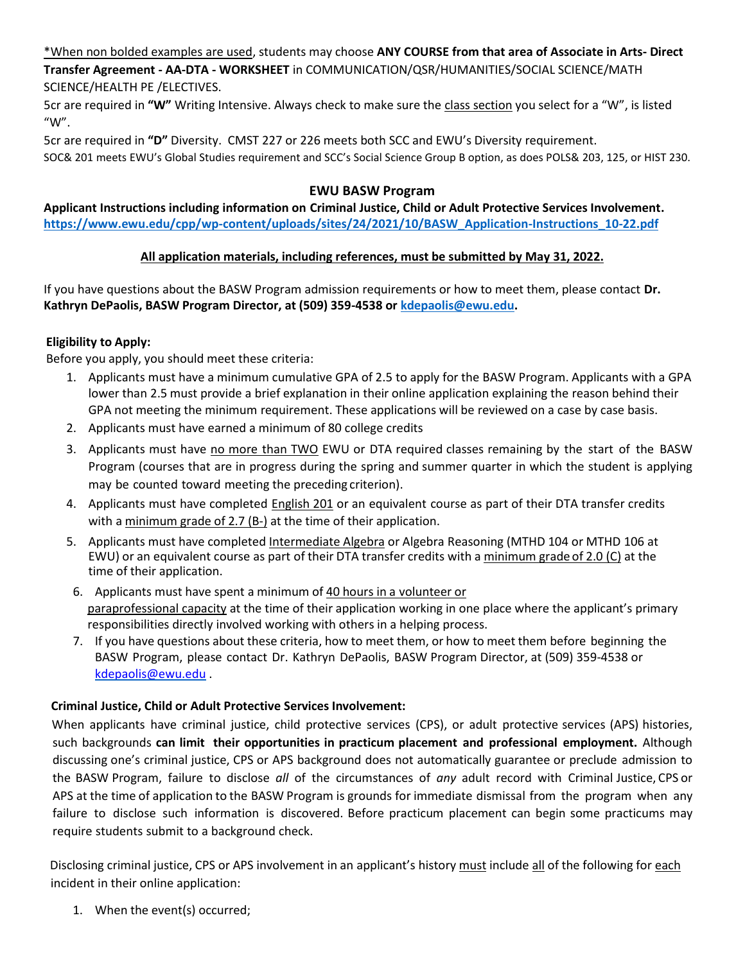\*When non bolded examples are used, students may choose **ANY COURSE from that area of Associate in Arts- Direct** 

**Transfer Agreement - AA-DTA - WORKSHEET** in COMMUNICATION/QSR/HUMANITIES/SOCIAL SCIENCE/MATH SCIENCE/HEALTH PE /ELECTIVES.

5cr are required in **"W"** Writing Intensive. Always check to make sure the class section you select for a "W", is listed "W".

5cr are required in **"D"** Diversity. CMST 227 or 226 meets both SCC and EWU's Diversity requirement. SOC& 201 meets EWU's Global Studies requirement and SCC's Social Science Group B option, as does POLS& 203, 125, or HIST 230.

## **EWU BASW Program**

**Applicant Instructions including information on Criminal Justice, Child or Adult Protective Services Involvement. https://www.ewu.edu/cpp/wp-content/uploads/sites/24/2021/10/BASW\_Application-Instructions\_10-22.pdf**

## **All application materials, including references, must be submitted by May 31, 2022.**

If you have questions about the BASW Program admission requirements or how to meet them, please contact **Dr. Kathryn DePaolis, BASW Program Director, at (509) 359-4538 or [kdepaolis@ewu.edu.](mailto:kdepaolis@ewu.edu)**

# **Eligibility to Apply:**

Before you apply, you should meet these criteria:

- 1. Applicants must have a minimum cumulative GPA of 2.5 to apply for the BASW Program. Applicants with a GPA lower than 2.5 must provide a brief explanation in their online application explaining the reason behind their GPA not meeting the minimum requirement. These applications will be reviewed on a case by case basis.
- 2. Applicants must have earned a minimum of 80 college credits
- 3. Applicants must have no more than TWO EWU or DTA required classes remaining by the start of the BASW Program (courses that are in progress during the spring and summer quarter in which the student is applying may be counted toward meeting the preceding criterion).
- 4. Applicants must have completed English 201 or an equivalent course as part of their DTA transfer credits with a minimum grade of 2.7 (B-) at the time of their application.
- 5. Applicants must have completed Intermediate Algebra or Algebra Reasoning (MTHD 104 or MTHD 106 at EWU) or an equivalent course as part of their DTA transfer credits with a minimum grade of 2.0 (C) at the time of their application.
- 6. Applicants must have spent a minimum of 40 hours in a volunteer or paraprofessional capacity at the time of their application working in one place where the applicant's primary responsibilities directly involved working with others in a helping process.
- 7. If you have questions about these criteria, how to meet them, or how to meet them before beginning the BASW Program, please contact Dr. Kathryn DePaolis, BASW Program Director, at (509) 359-4538 or [kdepaolis@ewu.edu](mailto:kdepaolis@ewu.edu) .

# **Criminal Justice, Child or Adult Protective Services Involvement:**

When applicants have criminal justice, child protective services (CPS), or adult protective services (APS) histories, such backgrounds **can limit their opportunities in practicum placement and professional employment.** Although discussing one's criminal justice, CPS or APS background does not automatically guarantee or preclude admission to the BASW Program, failure to disclose *all* of the circumstances of *any* adult record with Criminal Justice, CPS or APS at the time of application to the BASW Program is grounds for immediate dismissal from the program when any failure to disclose such information is discovered. Before practicum placement can begin some practicums may require students submit to a background check.

Disclosing criminal justice, CPS or APS involvement in an applicant's history must include all of the following for each incident in their online application:

1. When the event(s) occurred;